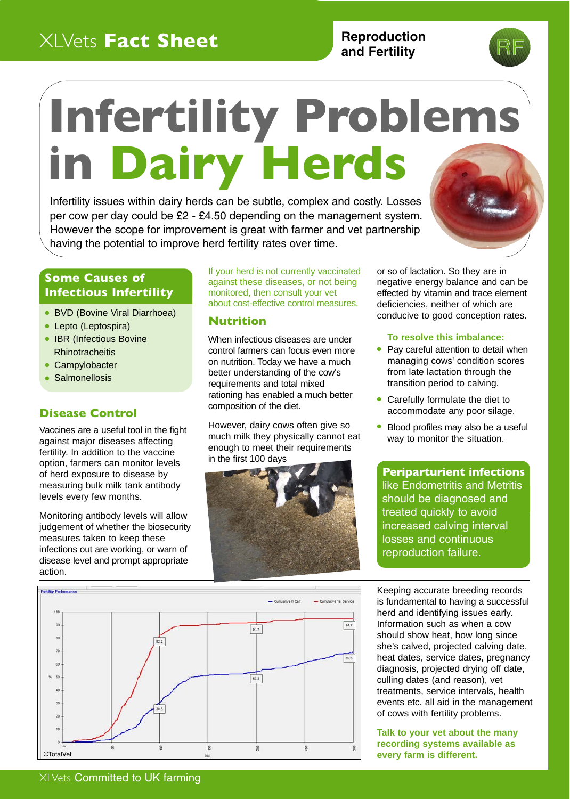# XLVets **Fact Sheet**

# **Reproduction and Fertility**

# **Infertility Problems in Dairy Herds**

Infertility issues within dairy herds can be subtle, complex and costly. Losses per cow per day could be £2 - £4.50 depending on the management system. However the scope for improvement is great with farmer and vet partnership having the potential to improve herd fertility rates over time.



# **Some Causes of Infectious Infertility**

- BVD (Bovine Viral Diarrhoea)
- Lepto (Leptospira)
- IBR (Infectious Bovine) **Rhinotracheitis**
- Campylobacter
- Salmonellosis

## **Disease Control**

Vaccines are a useful tool in the fight against major diseases affecting fertility. In addition to the vaccine option, farmers can monitor levels of herd exposure to disease by measuring bulk milk tank antibody levels every few months.

Monitoring antibody levels will allow judgement of whether the biosecurity measures taken to keep these infections out are working, or warn of disease level and prompt appropriate action.

If your herd is not currently vaccinated against these diseases, or not being monitored, then consult your vet about cost-effective control measures.

#### **Nutrition**

When infectious diseases are under control farmers can focus even more on nutrition. Today we have a much better understanding of the cow's requirements and total mixed rationing has enabled a much better composition of the diet.

However, dairy cows often give so much milk they physically cannot eat enough to meet their requirements in the first 100 days



or so of lactation. So they are in negative energy balance and can be effected by vitamin and trace element deficiencies, neither of which are conducive to good conception rates.

#### **To resolve this imbalance:**

- Pay careful attention to detail when managing cows' condition scores from late lactation through the transition period to calving.
- Carefully formulate the diet to accommodate any poor silage.
- $\bullet$ Blood profiles may also be a useful way to monitor the situation.

**Periparturient infections** like Endometritis and Metritis should be diagnosed and treated quickly to avoid increased calving interval losses and continuous reproduction failure.

Keeping accurate breeding records is fundamental to having a successful herd and identifying issues early. Information such as when a cow should show heat, how long since she's calved, projected calving date, heat dates, service dates, pregnancy diagnosis, projected drying off date, culling dates (and reason), vet treatments, service intervals, health events etc. all aid in the management of cows with fertility problems.

**Talk to your vet about the many recording systems available as every farm is different.**